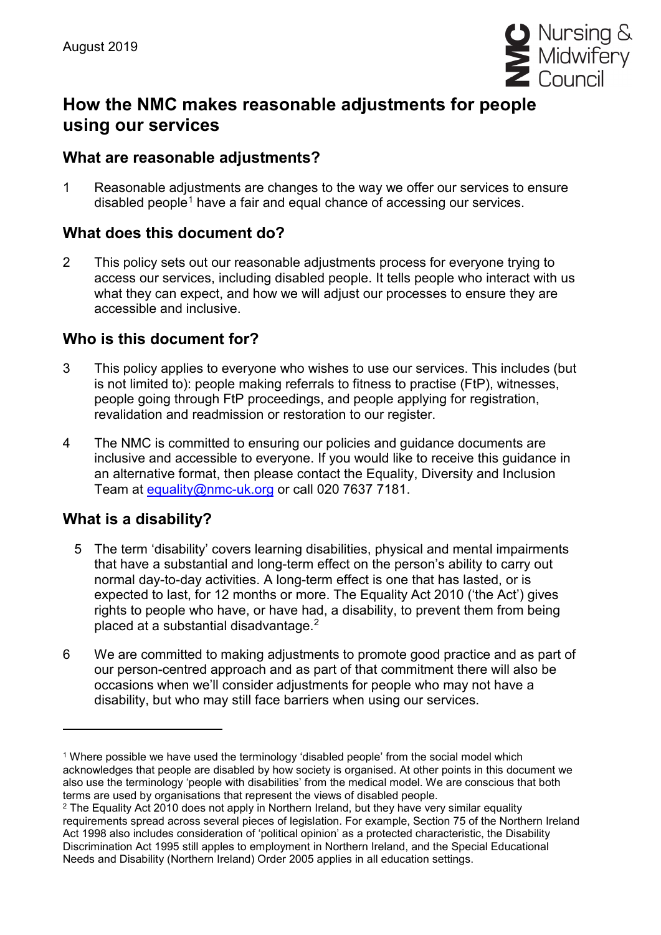

# **How the NMC makes reasonable adjustments for people using our services**

#### **What are reasonable adjustments?**

1 Reasonable adjustments are changes to the way we offer our services to ensure disabled people<sup>[1](#page-0-0)</sup> have a fair and equal chance of accessing our services.

### **What does this document do?**

2 This policy sets out our reasonable adjustments process for everyone trying to access our services, including disabled people. It tells people who interact with us what they can expect, and how we will adjust our processes to ensure they are accessible and inclusive.

### **Who is this document for?**

- 3 This policy applies to everyone who wishes to use our services. This includes (but is not limited to): people making referrals to fitness to practise (FtP), witnesses, people going through FtP proceedings, and people applying for registration, revalidation and readmission or restoration to our register.
- 4 The NMC is committed to ensuring our policies and guidance documents are inclusive and accessible to everyone. If you would like to receive this guidance in an alternative format, then please contact the Equality, Diversity and Inclusion Team at [equality@nmc-uk.org](mailto:equality@nmc-uk.org) or call 020 7637 7181.

# **What is a disability?**

- 5 The term 'disability' covers learning disabilities, physical and mental impairments that have a substantial and long-term effect on the person's ability to carry out normal day-to-day activities. A long-term effect is one that has lasted, or is expected to last, for 12 months or more. The Equality Act 2010 ('the Act') gives rights to people who have, or have had, a disability, to prevent them from being placed at a substantial disadvantage. [2](#page-0-1)
- 6 We are committed to making adjustments to promote good practice and as part of our person-centred approach and as part of that commitment there will also be occasions when we'll consider adjustments for people who may not have a disability, but who may still face barriers when using our services.

<span id="page-0-0"></span><sup>1</sup> Where possible we have used the terminology 'disabled people' from the social model which acknowledges that people are disabled by how society is organised. At other points in this document we also use the terminology 'people with disabilities' from the medical model. We are conscious that both terms are used by organisations that represent the views of disabled people.

<span id="page-0-1"></span><sup>&</sup>lt;sup>2</sup> The Equality Act 2010 does not apply in Northern Ireland, but they have very similar equality requirements spread across several pieces of legislation. For example, Section 75 of the Northern Ireland Act 1998 also includes consideration of 'political opinion' as a protected characteristic, the Disability Discrimination Act 1995 still apples to employment in Northern Ireland, and the Special Educational Needs and Disability (Northern Ireland) Order 2005 applies in all education settings.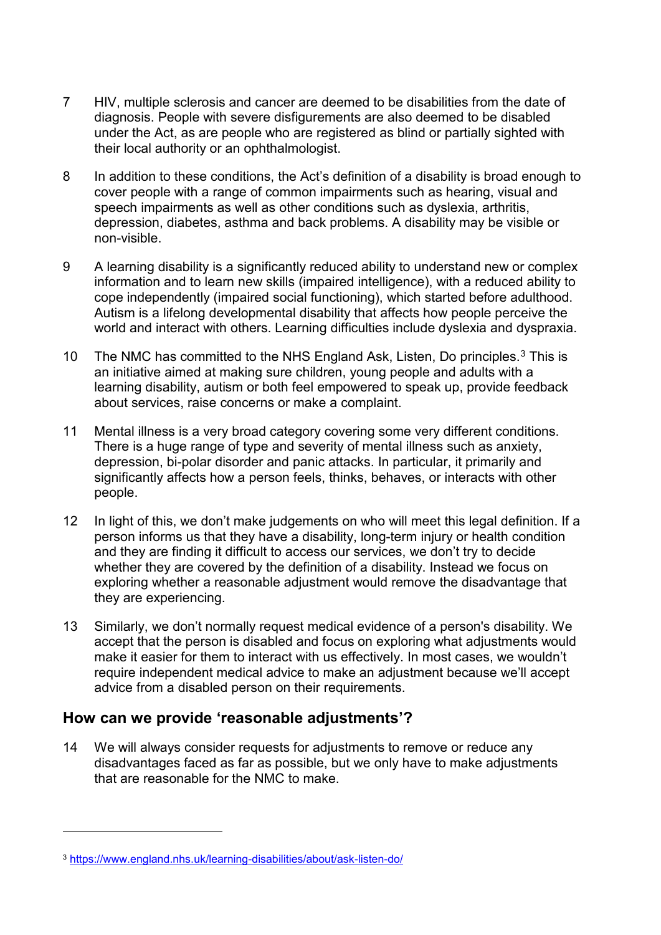- 7 HIV, multiple sclerosis and cancer are deemed to be disabilities from the date of diagnosis. People with severe disfigurements are also deemed to be disabled under the Act, as are people who are registered as blind or partially sighted with their local authority or an ophthalmologist.
- 8 In addition to these conditions, the Act's definition of a disability is broad enough to cover people with a range of common impairments such as hearing, visual and speech impairments as well as other conditions such as dyslexia, arthritis, depression, diabetes, asthma and back problems. A disability may be visible or non-visible.
- 9 A learning disability is a significantly reduced ability to understand new or complex information and to learn new skills (impaired intelligence), with a reduced ability to cope independently (impaired social functioning), which started before adulthood. Autism is a lifelong developmental disability that affects how people perceive the world and interact with others. Learning difficulties include dyslexia and dyspraxia.
- 10 The NMC has committed to the NHS England Ask, Listen, Do principles.<sup>[3](#page-1-0)</sup> This is an initiative aimed at making sure children, young people and adults with a learning disability, autism or both feel empowered to speak up, provide feedback about services, raise concerns or make a complaint.
- 11 Mental illness is a very broad category covering some very different conditions. There is a huge range of type and severity of mental illness such as anxiety, depression, bi-polar disorder and panic attacks. In particular, it primarily and significantly affects how a person feels, thinks, behaves, or interacts with other people.
- 12 In light of this, we don't make judgements on who will meet this legal definition. If a person informs us that they have a disability, long-term injury or health condition and they are finding it difficult to access our services, we don't try to decide whether they are covered by the definition of a disability. Instead we focus on exploring whether a reasonable adjustment would remove the disadvantage that they are experiencing.
- 13 Similarly, we don't normally request medical evidence of a person's disability. We accept that the person is disabled and focus on exploring what adjustments would make it easier for them to interact with us effectively. In most cases, we wouldn't require independent medical advice to make an adjustment because we'll accept advice from a disabled person on their requirements.

### **How can we provide 'reasonable adjustments'?**

14 We will always consider requests for adjustments to remove or reduce any disadvantages faced as far as possible, but we only have to make adjustments that are reasonable for the NMC to make.

<span id="page-1-0"></span><sup>3</sup> <https://www.england.nhs.uk/learning-disabilities/about/ask-listen-do/>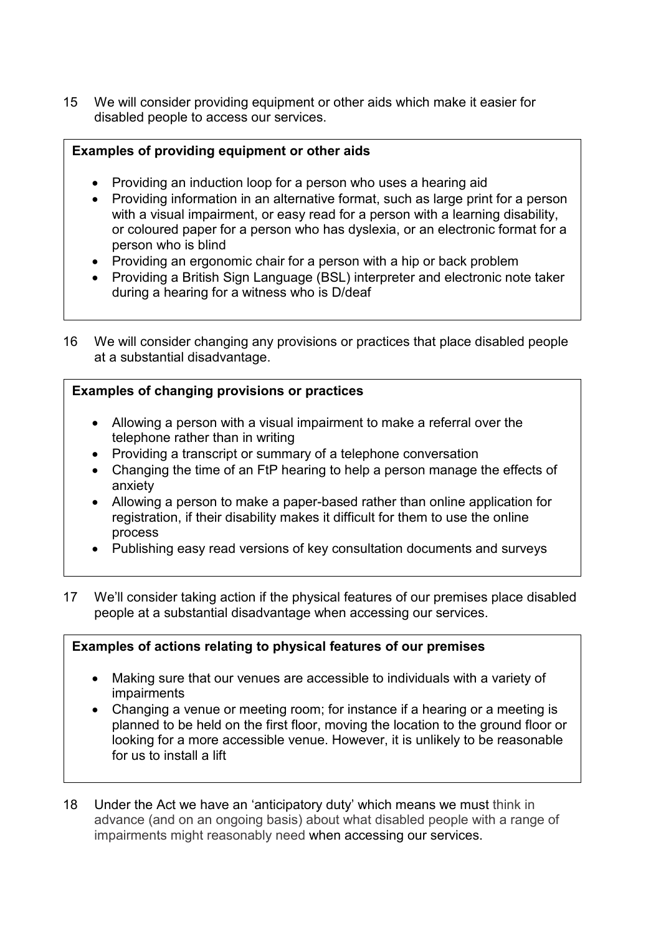15 We will consider providing equipment or other aids which make it easier for disabled people to access our services.

#### **Examples of providing equipment or other aids**

- Providing an induction loop for a person who uses a hearing aid
- Providing information in an alternative format, such as large print for a person with a visual impairment, or easy read for a person with a learning disability, or coloured paper for a person who has dyslexia, or an electronic format for a person who is blind
- Providing an ergonomic chair for a person with a hip or back problem
- Providing a British Sign Language (BSL) interpreter and electronic note taker during a hearing for a witness who is D/deaf
- 16 We will consider changing any provisions or practices that place disabled people at a substantial disadvantage.

#### **Examples of changing provisions or practices**

- Allowing a person with a visual impairment to make a referral over the telephone rather than in writing
- Providing a transcript or summary of a telephone conversation
- Changing the time of an FtP hearing to help a person manage the effects of anxiety
- Allowing a person to make a paper-based rather than online application for registration, if their disability makes it difficult for them to use the online process
- Publishing easy read versions of key consultation documents and surveys
- 17 We'll consider taking action if the physical features of our premises place disabled people at a substantial disadvantage when accessing our services.

#### **Examples of actions relating to physical features of our premises**

- Making sure that our venues are accessible to individuals with a variety of impairments
- Changing a venue or meeting room; for instance if a hearing or a meeting is planned to be held on the first floor, moving the location to the ground floor or looking for a more accessible venue. However, it is unlikely to be reasonable for us to install a lift
- 18 Under the Act we have an 'anticipatory duty' which means we must think in advance (and on an ongoing basis) about what disabled people with a range of impairments might reasonably need when accessing our services.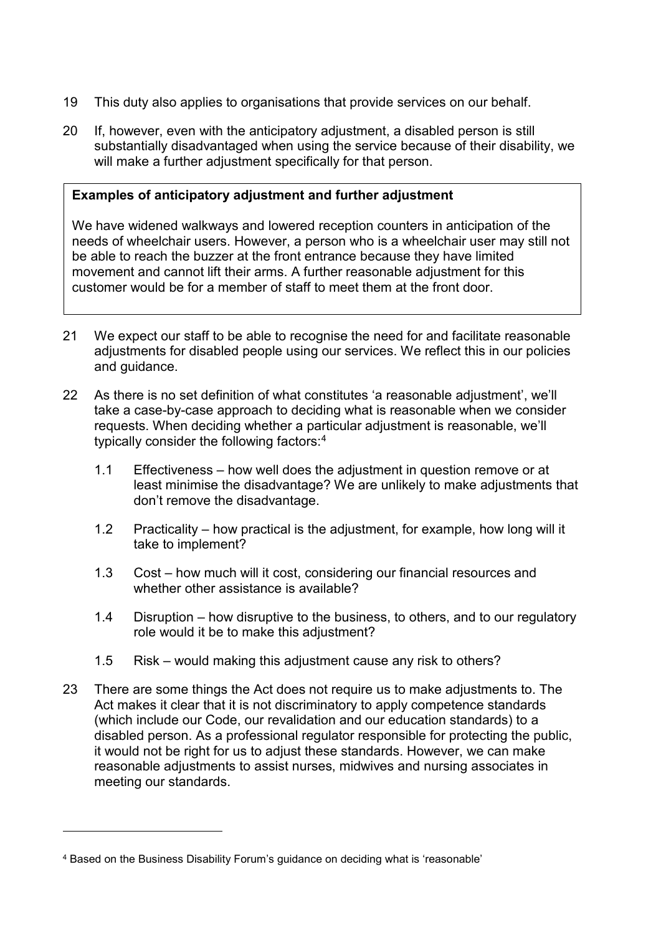- 19 This duty also applies to organisations that provide services on our behalf.
- 20 If, however, even with the anticipatory adjustment, a disabled person is still substantially disadvantaged when using the service because of their disability, we will make a further adjustment specifically for that person.

#### **Examples of anticipatory adjustment and further adjustment**

We have widened walkways and lowered reception counters in anticipation of the needs of wheelchair users. However, a person who is a wheelchair user may still not be able to reach the buzzer at the front entrance because they have limited movement and cannot lift their arms. A further reasonable adjustment for this customer would be for a member of staff to meet them at the front door.

- 21 We expect our staff to be able to recognise the need for and facilitate reasonable adjustments for disabled people using our services. We reflect this in our policies and guidance.
- 22 As there is no set definition of what constitutes 'a reasonable adjustment', we'll take a case-by-case approach to deciding what is reasonable when we consider requests. When deciding whether a particular adjustment is reasonable, we'll typically consider the following factors: [4](#page-3-0)
	- 1.1 Effectiveness how well does the adjustment in question remove or at least minimise the disadvantage? We are unlikely to make adjustments that don't remove the disadvantage.
	- 1.2 Practicality how practical is the adjustment, for example, how long will it take to implement?
	- 1.3 Cost how much will it cost, considering our financial resources and whether other assistance is available?
	- 1.4 Disruption how disruptive to the business, to others, and to our regulatory role would it be to make this adjustment?
	- 1.5 Risk would making this adjustment cause any risk to others?
- 23 There are some things the Act does not require us to make adjustments to. The Act makes it clear that it is not discriminatory to apply competence standards (which include our Code, our revalidation and our education standards) to a disabled person. As a professional regulator responsible for protecting the public, it would not be right for us to adjust these standards. However, we can make reasonable adjustments to assist nurses, midwives and nursing associates in meeting our standards.

<span id="page-3-0"></span><sup>4</sup> Based on the Business Disability Forum's guidance on deciding what is 'reasonable'